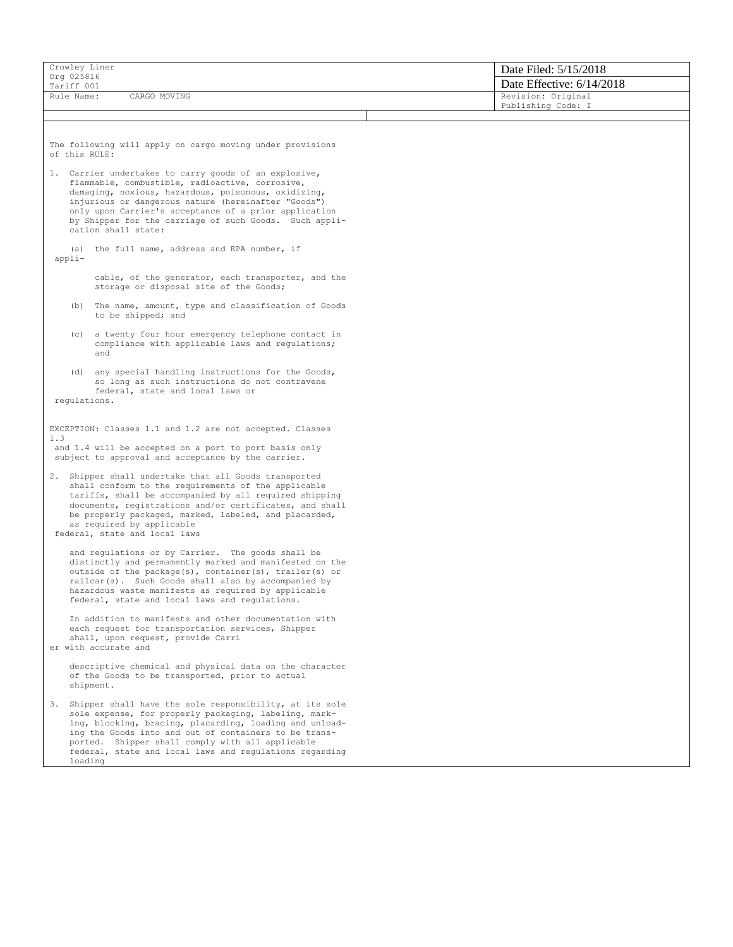| Crowley Liner                                                                                                                                                                                                                                                                                                                                                     | Date Filed: 5/15/2018     |  |  |  |
|-------------------------------------------------------------------------------------------------------------------------------------------------------------------------------------------------------------------------------------------------------------------------------------------------------------------------------------------------------------------|---------------------------|--|--|--|
| Org 025816<br>Tariff 001                                                                                                                                                                                                                                                                                                                                          | Date Effective: 6/14/2018 |  |  |  |
| Rule Name:<br>CARGO MOVING                                                                                                                                                                                                                                                                                                                                        | Revision: Original        |  |  |  |
|                                                                                                                                                                                                                                                                                                                                                                   | Publishing Code: I        |  |  |  |
|                                                                                                                                                                                                                                                                                                                                                                   |                           |  |  |  |
| The following will apply on cargo moving under provisions<br>of this RULE:                                                                                                                                                                                                                                                                                        |                           |  |  |  |
| 1. Carrier undertakes to carry goods of an explosive,<br>flammable, combustible, radioactive, corrosive,<br>damaging, noxious, hazardous, poisonous, oxidizing,<br>injurious or dangerous nature (hereinafter "Goods")<br>only upon Carrier's acceptance of a prior application<br>by Shipper for the carriage of such Goods. Such appli-<br>cation shall state:  |                           |  |  |  |
| (a) the full name, address and EPA number, if<br>appli-                                                                                                                                                                                                                                                                                                           |                           |  |  |  |
| cable, of the generator, each transporter, and the<br>storage or disposal site of the Goods;                                                                                                                                                                                                                                                                      |                           |  |  |  |
| (b) The name, amount, type and classification of Goods<br>to be shipped; and                                                                                                                                                                                                                                                                                      |                           |  |  |  |
| (c) a twenty four hour emergency telephone contact in<br>compliance with applicable laws and regulations;<br>and                                                                                                                                                                                                                                                  |                           |  |  |  |
| (d) any special handling instructions for the Goods,<br>so long as such instructions do not contravene<br>federal, state and local laws or                                                                                                                                                                                                                        |                           |  |  |  |
| regulations.                                                                                                                                                                                                                                                                                                                                                      |                           |  |  |  |
| EXCEPTION: Classes 1.1 and 1.2 are not accepted. Classes<br>1.3<br>and 1.4 will be accepted on a port to port basis only<br>subject to approval and acceptance by the carrier.                                                                                                                                                                                    |                           |  |  |  |
| 2. Shipper shall undertake that all Goods transported<br>shall conform to the requirements of the applicable<br>tariffs, shall be accompanied by all required shipping<br>documents, registrations and/or certificates, and shall<br>be properly packaged, marked, labeled, and placarded,<br>as required by applicable<br>federal, state and local laws          |                           |  |  |  |
| and regulations or by Carrier. The goods shall be<br>distinctly and permamently marked and manifested on the<br>outside of the package(s), container(s), trailer(s) or<br>railcar(s). Such Goods shall also by accompanied by<br>hazardous waste manifests as required by applicable<br>federal, state and local laws and regulations.                            |                           |  |  |  |
| In addition to manifests and other documentation with<br>each request for transportation services, Shipper<br>shall, upon request, provide Carri<br>er with accurate and                                                                                                                                                                                          |                           |  |  |  |
| descriptive chemical and physical data on the character<br>of the Goods to be transported, prior to actual<br>shipment.                                                                                                                                                                                                                                           |                           |  |  |  |
| 3. Shipper shall have the sole responsibility, at its sole<br>sole expense, for properly packaging, labeling, mark-<br>ing, blocking, bracing, placarding, loading and unload-<br>ing the Goods into and out of containers to be trans-<br>ported. Shipper shall comply with all applicable<br>federal, state and local laws and regulations regarding<br>loading |                           |  |  |  |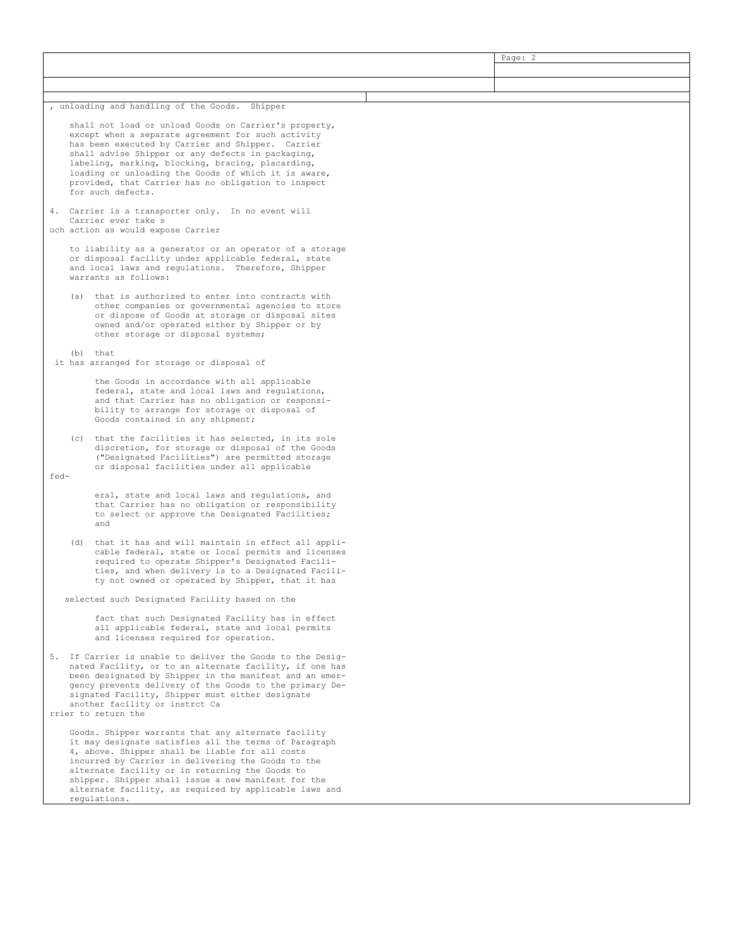|                                                                           |                                                                                                                                                                                                                                                                                                                                                                                                           |                                                                                                                                                                                                                                                                                                                                                                                                                |  | Page: 2 |  |
|---------------------------------------------------------------------------|-----------------------------------------------------------------------------------------------------------------------------------------------------------------------------------------------------------------------------------------------------------------------------------------------------------------------------------------------------------------------------------------------------------|----------------------------------------------------------------------------------------------------------------------------------------------------------------------------------------------------------------------------------------------------------------------------------------------------------------------------------------------------------------------------------------------------------------|--|---------|--|
|                                                                           |                                                                                                                                                                                                                                                                                                                                                                                                           |                                                                                                                                                                                                                                                                                                                                                                                                                |  |         |  |
|                                                                           |                                                                                                                                                                                                                                                                                                                                                                                                           |                                                                                                                                                                                                                                                                                                                                                                                                                |  |         |  |
|                                                                           |                                                                                                                                                                                                                                                                                                                                                                                                           |                                                                                                                                                                                                                                                                                                                                                                                                                |  |         |  |
| , unloading and handling of the Goods. Shipper                            |                                                                                                                                                                                                                                                                                                                                                                                                           |                                                                                                                                                                                                                                                                                                                                                                                                                |  |         |  |
|                                                                           |                                                                                                                                                                                                                                                                                                                                                                                                           | shall not load or unload Goods on Carrier's property,<br>except when a separate agreement for such activity<br>has been executed by Carrier and Shipper. Carrier<br>shall advise Shipper or any defects in packaging,<br>labeling, marking, blocking, bracing, placarding,<br>loading or unloading the Goods of which it is aware,<br>provided, that Carrier has no obligation to inspect<br>for such defects. |  |         |  |
| 4. Carrier is a transporter only. In no event will<br>Carrier ever take s |                                                                                                                                                                                                                                                                                                                                                                                                           |                                                                                                                                                                                                                                                                                                                                                                                                                |  |         |  |
|                                                                           |                                                                                                                                                                                                                                                                                                                                                                                                           | uch action as would expose Carrier                                                                                                                                                                                                                                                                                                                                                                             |  |         |  |
|                                                                           |                                                                                                                                                                                                                                                                                                                                                                                                           | to liability as a generator or an operator of a storage<br>or disposal facility under applicable federal, state<br>and local laws and regulations. Therefore, Shipper<br>warrants as follows:                                                                                                                                                                                                                  |  |         |  |
|                                                                           | (a)                                                                                                                                                                                                                                                                                                                                                                                                       | that is authorized to enter into contracts with<br>other companies or governmental agencies to store<br>or dispose of Goods at storage or disposal sites<br>owned and/or operated either by Shipper or by<br>other storage or disposal systems;                                                                                                                                                                |  |         |  |
|                                                                           | (b)                                                                                                                                                                                                                                                                                                                                                                                                       | that<br>it has arranged for storage or disposal of                                                                                                                                                                                                                                                                                                                                                             |  |         |  |
|                                                                           |                                                                                                                                                                                                                                                                                                                                                                                                           | the Goods in accordance with all applicable<br>federal, state and local laws and regulations,<br>and that Carrier has no obligation or responsi-<br>bility to arrange for storage or disposal of<br>Goods contained in any shipment;                                                                                                                                                                           |  |         |  |
|                                                                           |                                                                                                                                                                                                                                                                                                                                                                                                           | (c) that the facilities it has selected, in its sole<br>discretion, for storage or disposal of the Goods<br>("Designated Facilities") are permitted storage<br>or disposal facilities under all applicable                                                                                                                                                                                                     |  |         |  |
| fed-                                                                      |                                                                                                                                                                                                                                                                                                                                                                                                           |                                                                                                                                                                                                                                                                                                                                                                                                                |  |         |  |
|                                                                           |                                                                                                                                                                                                                                                                                                                                                                                                           | eral, state and local laws and regulations, and<br>that Carrier has no obligation or responsibility<br>to select or approve the Designated Facilities;<br>and                                                                                                                                                                                                                                                  |  |         |  |
|                                                                           | (d)                                                                                                                                                                                                                                                                                                                                                                                                       | that it has and will maintain in effect all appli-<br>cable federal, state or local permits and licenses<br>required to operate Shipper's Designated Facili-<br>ties, and when delivery is to a Designated Facili-<br>ty not owned or operated by Shipper, that it has                                                                                                                                         |  |         |  |
|                                                                           |                                                                                                                                                                                                                                                                                                                                                                                                           | selected such Designated Facility based on the                                                                                                                                                                                                                                                                                                                                                                 |  |         |  |
|                                                                           |                                                                                                                                                                                                                                                                                                                                                                                                           | fact that such Designated Facility has in effect<br>all applicable federal, state and local permits<br>and licenses required for operation.                                                                                                                                                                                                                                                                    |  |         |  |
|                                                                           | 5. If Carrier is unable to deliver the Goods to the Desig-<br>nated Facility, or to an alternate facility, if one has<br>been designated by Shipper in the manifest and an emer-<br>gency prevents delivery of the Goods to the primary De-<br>signated Facility, Shipper must either designate<br>another facility or instrct Ca<br>rrier to return the                                                  |                                                                                                                                                                                                                                                                                                                                                                                                                |  |         |  |
|                                                                           | Goods. Shipper warrants that any alternate facility<br>it may designate satisfies all the terms of Paragraph<br>4, above. Shipper shall be liable for all costs<br>incurred by Carrier in delivering the Goods to the<br>alternate facility or in returning the Goods to<br>shipper. Shipper shall issue a new manifest for the<br>alternate facility, as required by applicable laws and<br>regulations. |                                                                                                                                                                                                                                                                                                                                                                                                                |  |         |  |